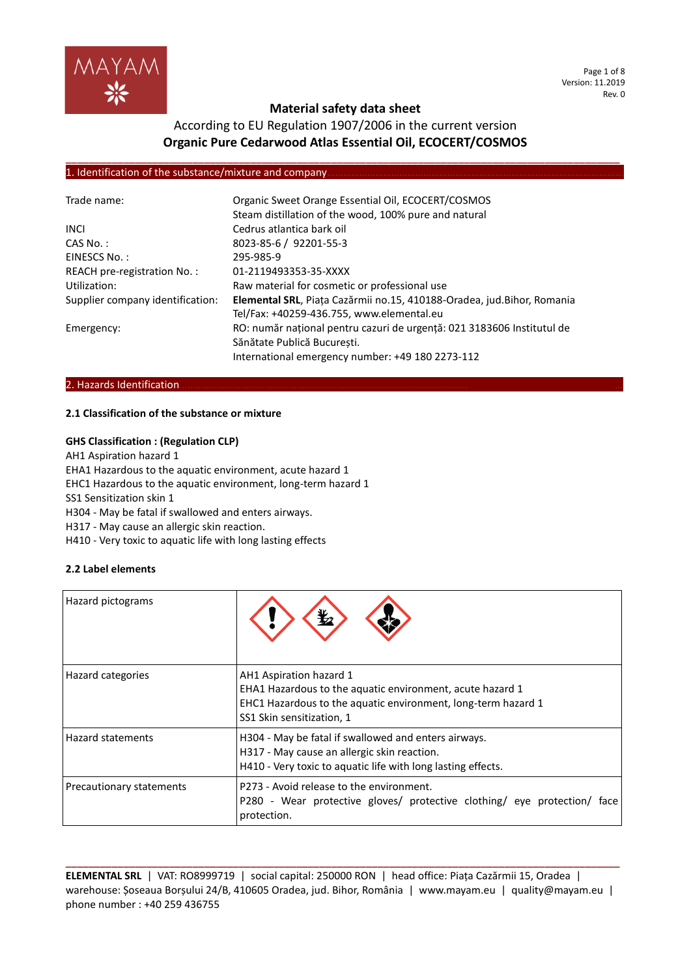

Page 1 of 8 Version: 11.2019 Rev. 0

## **Material safety data sheet**

## According to EU Regulation 1907/2006 in the current version **Organic Pure Cedarwood Atlas Essential Oil, ECOCERT/COSMOS**

**\_\_\_\_\_\_\_\_\_\_\_\_\_\_\_\_\_\_\_\_\_\_\_\_\_\_\_\_\_\_\_\_\_\_\_\_\_\_\_\_\_\_\_\_\_\_\_\_\_\_\_\_\_\_\_\_\_\_\_\_\_\_\_\_\_\_\_\_\_\_\_\_\_\_\_\_\_\_\_\_\_\_\_\_\_\_\_\_\_\_\_\_\_\_\_\_**

#### 1. Identification of the substance/mixture and company

| Trade name:                      | Organic Sweet Orange Essential Oil, ECOCERT/COSMOS<br>Steam distillation of the wood, 100% pure and natural |  |  |
|----------------------------------|-------------------------------------------------------------------------------------------------------------|--|--|
| <b>INCL</b>                      | Cedrus atlantica bark oil                                                                                   |  |  |
|                                  |                                                                                                             |  |  |
| $CAS No.$ :                      | 8023-85-6 / 92201-55-3                                                                                      |  |  |
| EINESCS No.:                     | 295-985-9                                                                                                   |  |  |
| REACH pre-registration No.:      | 01-2119493353-35-XXXX                                                                                       |  |  |
| Utilization:                     | Raw material for cosmetic or professional use                                                               |  |  |
| Supplier company identification: | Elemental SRL, Piața Cazărmii no.15, 410188-Oradea, jud. Bihor, Romania                                     |  |  |
|                                  | Tel/Fax: +40259-436.755, www.elemental.eu                                                                   |  |  |
| Emergency:                       | RO: număr național pentru cazuri de urgență: 021 3183606 Institutul de                                      |  |  |
|                                  | Sănătate Publică Bucuresti.                                                                                 |  |  |
|                                  | International emergency number: +49 180 2273-112                                                            |  |  |

#### 2. Hazards Identification.

#### **2.1 Classification of the substance or mixture**

#### **GHS Classification : (Regulation CLP)**

AH1 Aspiration hazard 1

EHA1 Hazardous to the aquatic environment, acute hazard 1

EHC1 Hazardous to the aquatic environment, long-term hazard 1

SS1 Sensitization skin 1

H304 - May be fatal if swallowed and enters airways.

H317 - May cause an allergic skin reaction.

H410 - Very toxic to aquatic life with long lasting effects

#### **2.2 Label elements**

| Hazard pictograms               |                                                                                                                                                                                    |
|---------------------------------|------------------------------------------------------------------------------------------------------------------------------------------------------------------------------------|
| <b>Hazard categories</b>        | AH1 Aspiration hazard 1<br>EHA1 Hazardous to the aquatic environment, acute hazard 1<br>EHC1 Hazardous to the aquatic environment, long-term hazard 1<br>SS1 Skin sensitization, 1 |
| <b>Hazard statements</b>        | H304 - May be fatal if swallowed and enters airways.<br>H317 - May cause an allergic skin reaction.<br>H410 - Very toxic to aquatic life with long lasting effects.                |
| <b>Precautionary statements</b> | P273 - Avoid release to the environment.<br>P280 - Wear protective gloves/ protective clothing/ eye protection/ face<br>protection.                                                |

**ELEMENTAL SRL** | VAT: RO8999719 | social capital: 250000 RON | head office: Piața Cazărmii 15, Oradea | warehouse: Șoseaua Borșului 24/B, 410605 Oradea, jud. Bihor, România | www.mayam.eu | quality@mayam.eu | phone number : +40 259 436755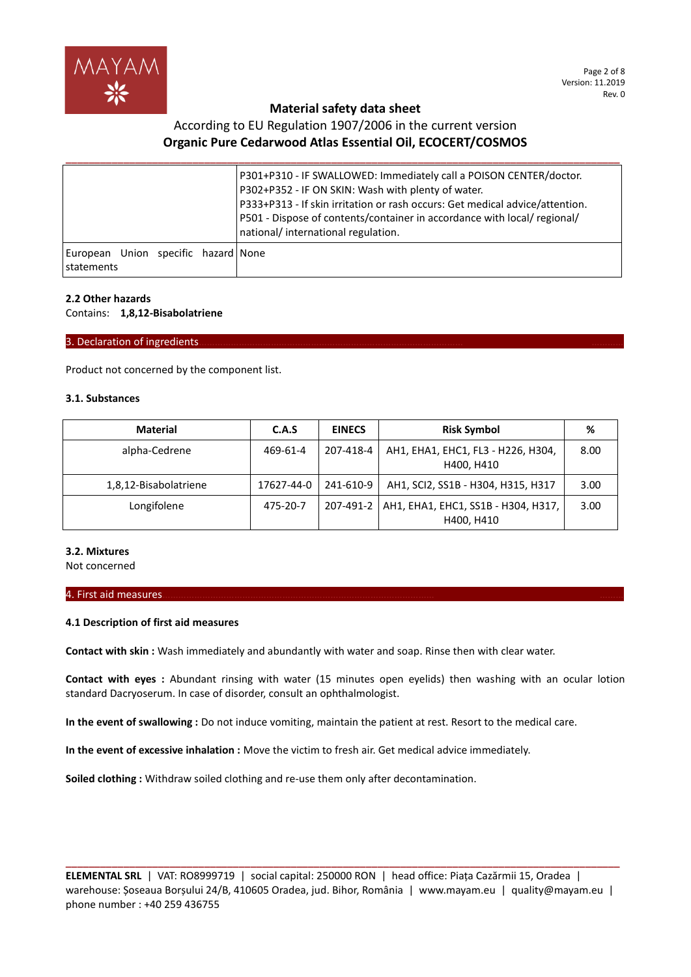

## According to EU Regulation 1907/2006 in the current version **Organic Pure Cedarwood Atlas Essential Oil, ECOCERT/COSMOS**

|                                                     | P301+P310 - IF SWALLOWED: Immediately call a POISON CENTER/doctor.<br>P302+P352 - IF ON SKIN: Wash with plenty of water.<br>P333+P313 - If skin irritation or rash occurs: Get medical advice/attention.<br> P501 - Dispose of contents/container in accordance with local/ regional/<br>national/ international regulation. |
|-----------------------------------------------------|------------------------------------------------------------------------------------------------------------------------------------------------------------------------------------------------------------------------------------------------------------------------------------------------------------------------------|
| European Union specific hazard None<br>l statements |                                                                                                                                                                                                                                                                                                                              |

#### **2.2 Other hazards**

Contains: **1,8,12-Bisabolatriene**

#### 3. Declaration of ingredients.

Product not concerned by the component list.

#### **3.1. Substances**

| <b>Material</b>       | C.A.S      | <b>EINECS</b> | <b>Risk Symbol</b>                                | %    |
|-----------------------|------------|---------------|---------------------------------------------------|------|
| alpha-Cedrene         | 469-61-4   | 207-418-4     | AH1, EHA1, EHC1, FL3 - H226, H304,<br>H400, H410  | 8.00 |
| 1,8,12-Bisabolatriene | 17627-44-0 | 241-610-9     | AH1, SCI2, SS1B - H304, H315, H317                | 3.00 |
| Longifolene           | 475-20-7   | 207-491-2     | AH1, EHA1, EHC1, SS1B - H304, H317,<br>H400, H410 | 3.00 |

#### **3.2. Mixtures**

Not concerned

#### 4. First aid measures.

#### **4.1 Description of first aid measures**

**Contact with skin :** Wash immediately and abundantly with water and soap. Rinse then with clear water.

**Contact with eyes :** Abundant rinsing with water (15 minutes open eyelids) then washing with an ocular lotion standard Dacryoserum. In case of disorder, consult an ophthalmologist.

**In the event of swallowing :** Do not induce vomiting, maintain the patient at rest. Resort to the medical care.

**In the event of excessive inhalation :** Move the victim to fresh air. Get medical advice immediately.

**Soiled clothing :** Withdraw soiled clothing and re-use them only after decontamination.

**ELEMENTAL SRL** | VAT: RO8999719 | social capital: 250000 RON | head office: Piața Cazărmii 15, Oradea | warehouse: Șoseaua Borșului 24/B, 410605 Oradea, jud. Bihor, România | www.mayam.eu | quality@mayam.eu | phone number : +40 259 436755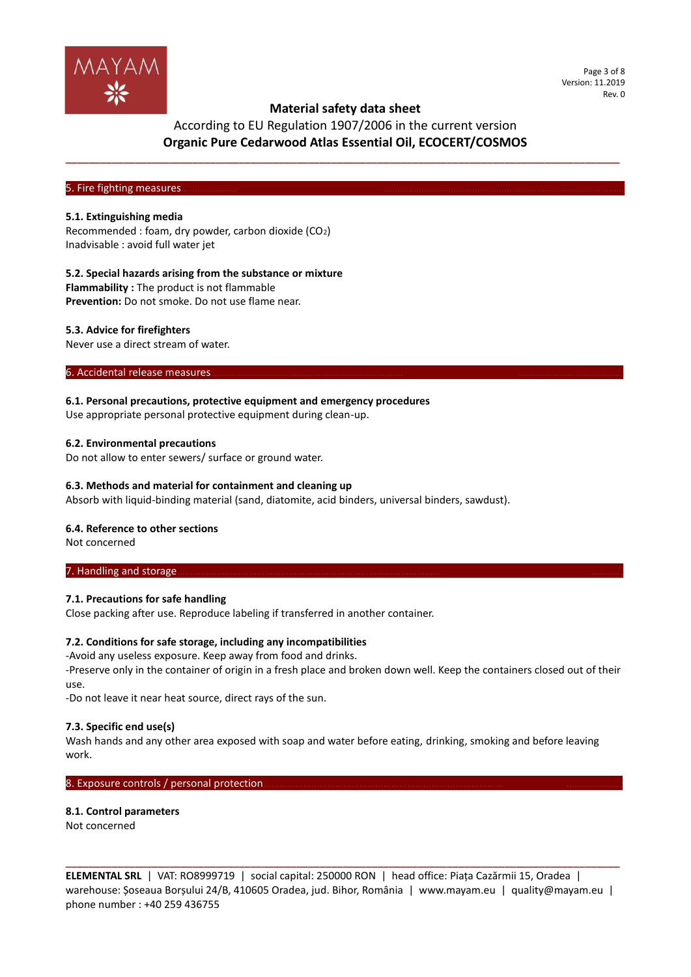

Page 3 of 8 Version: 11.2019 Rev. 0

## According to EU Regulation 1907/2006 in the current version **Organic Pure Cedarwood Atlas Essential Oil, ECOCERT/COSMOS**

**\_\_\_\_\_\_\_\_\_\_\_\_\_\_\_\_\_\_\_\_\_\_\_\_\_\_\_\_\_\_\_\_\_\_\_\_\_\_\_\_\_\_\_\_\_\_\_\_\_\_\_\_\_\_\_\_\_\_\_\_\_\_\_\_\_\_\_\_\_\_\_\_\_\_\_\_\_\_\_\_\_\_\_\_\_\_\_\_\_\_\_\_\_\_\_\_**

#### 5. Fire fighting measures.

#### **5.1. Extinguishing media**

Recommended : foam, dry powder, carbon dioxide (CO2) Inadvisable : avoid full water jet

#### **5.2. Special hazards arising from the substance or mixture**

**Flammability :** The product is not flammable

**Prevention:** Do not smoke. Do not use flame near.

#### **5.3. Advice for firefighters**

Never use a direct stream of water.

6. Accidental release measures

#### **6.1. Personal precautions, protective equipment and emergency procedures**

Use appropriate personal protective equipment during clean-up.

#### **6.2. Environmental precautions**

Do not allow to enter sewers/ surface or ground water.

#### **6.3. Methods and material for containment and cleaning up**

Absorb with liquid-binding material (sand, diatomite, acid binders, universal binders, sawdust).

#### **6.4. Reference to other sections**

Not concerned

## 7. Handling and storage.

#### **7.1. Precautions for safe handling**

Close packing after use. Reproduce labeling if transferred in another container.

#### **7.2. Conditions for safe storage, including any incompatibilities**

-Avoid any useless exposure. Keep away from food and drinks.

-Preserve only in the container of origin in a fresh place and broken down well. Keep the containers closed out of their use.

-Do not leave it near heat source, direct rays of the sun.

#### **7.3. Specific end use(s)**

Wash hands and any other area exposed with soap and water before eating, drinking, smoking and before leaving work.

#### 8. Exposure controls / personal protection.

#### **8.1. Control parameters**

Not concerned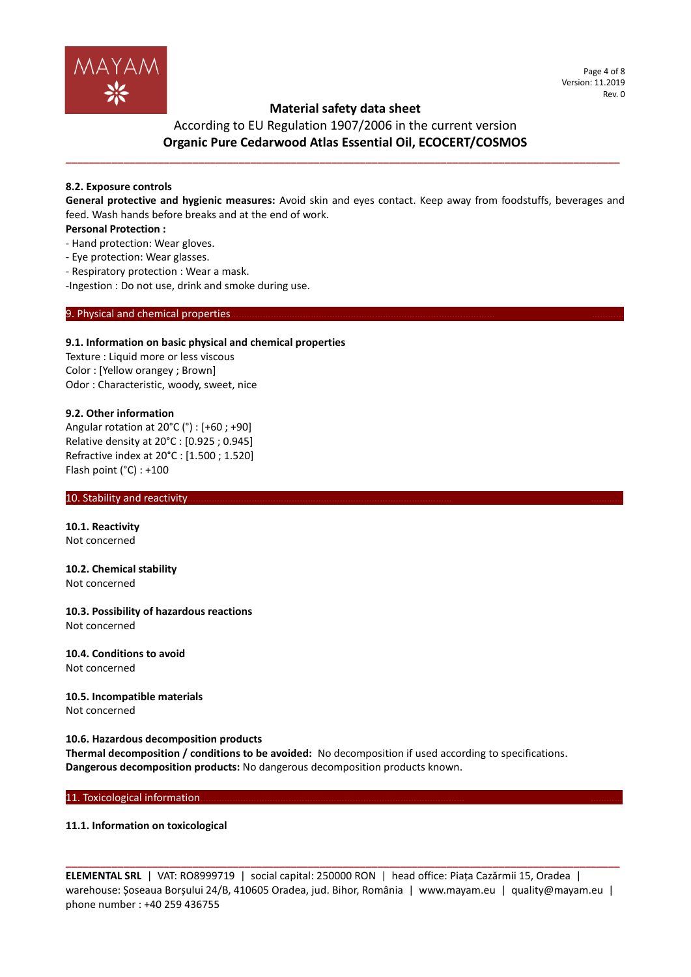

#### Page 4 of 8 Version: 11.2019 Rev. 0

## **Material safety data sheet**

According to EU Regulation 1907/2006 in the current version **Organic Pure Cedarwood Atlas Essential Oil, ECOCERT/COSMOS**

**\_\_\_\_\_\_\_\_\_\_\_\_\_\_\_\_\_\_\_\_\_\_\_\_\_\_\_\_\_\_\_\_\_\_\_\_\_\_\_\_\_\_\_\_\_\_\_\_\_\_\_\_\_\_\_\_\_\_\_\_\_\_\_\_\_\_\_\_\_\_\_\_\_\_\_\_\_\_\_\_\_\_\_\_\_\_\_\_\_\_\_\_\_\_\_\_**

#### **8.2. Exposure controls**

**General protective and hygienic measures:** Avoid skin and eyes contact. Keep away from foodstuffs, beverages and feed. Wash hands before breaks and at the end of work.

#### **Personal Protection :**

- Hand protection: Wear gloves.
- Eye protection: Wear glasses.
- Respiratory protection : Wear a mask.

-Ingestion : Do not use, drink and smoke during use.

#### 9. Physical and chemical properties

#### **9.1. Information on basic physical and chemical properties**

Texture : Liquid more or less viscous Color : [Yellow orangey ; Brown] Odor : Characteristic, woody, sweet, nice

### **9.2. Other information**

Angular rotation at 20°C (°) : [+60 ; +90] Relative density at 20°C : [0.925 ; 0.945] Refractive index at 20°C : [1.500 ; 1.520] Flash point (°C) : +100

#### 10. Stability and reactivity.

**10.1. Reactivity** Not concerned

**10.2. Chemical stability** Not concerned

**10.3. Possibility of hazardous reactions** Not concerned

**10.4. Conditions to avoid** Not concerned

**10.5. Incompatible materials** Not concerned

**10.6. Hazardous decomposition products**

**Thermal decomposition / conditions to be avoided:** No decomposition if used according to specifications. **Dangerous decomposition products:** No dangerous decomposition products known.

11. Toxicological information.

#### **11.1. Information on toxicological**

**ELEMENTAL SRL** | VAT: RO8999719 | social capital: 250000 RON | head office: Piața Cazărmii 15, Oradea | warehouse: Șoseaua Borșului 24/B, 410605 Oradea, jud. Bihor, România | www.mayam.eu | quality@mayam.eu | phone number : +40 259 436755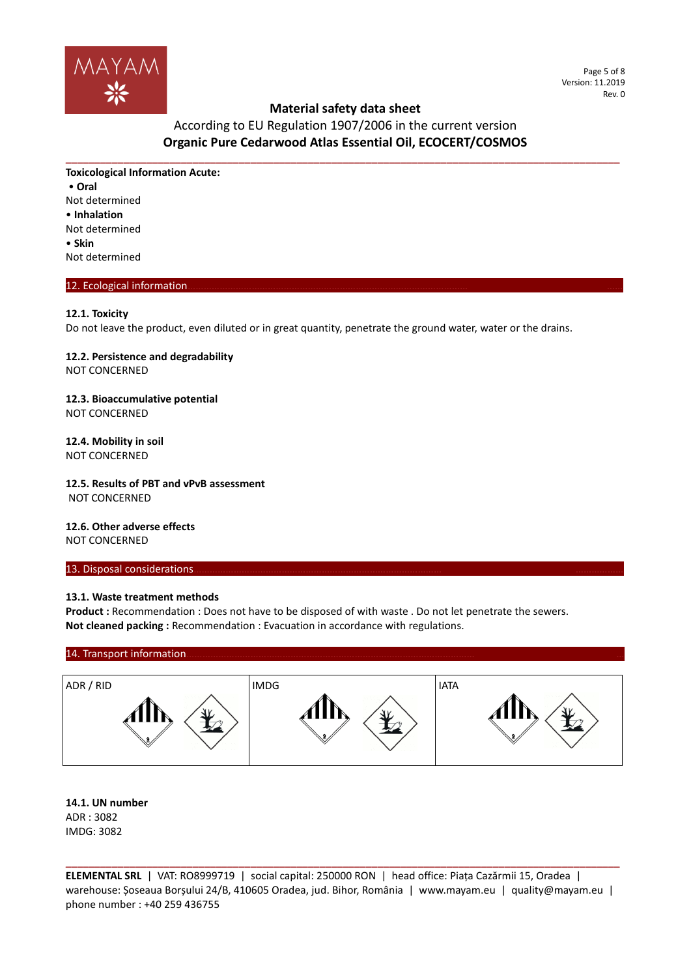

Page 5 of 8 Version: 11.2019 Rev. 0

# According to EU Regulation 1907/2006 in the current version **Organic Pure Cedarwood Atlas Essential Oil, ECOCERT/COSMOS**

**\_\_\_\_\_\_\_\_\_\_\_\_\_\_\_\_\_\_\_\_\_\_\_\_\_\_\_\_\_\_\_\_\_\_\_\_\_\_\_\_\_\_\_\_\_\_\_\_\_\_\_\_\_\_\_\_\_\_\_\_\_\_\_\_\_\_\_\_\_\_\_\_\_\_\_\_\_\_\_\_\_\_\_\_\_\_\_\_\_\_\_\_\_\_\_\_**

**Toxicological Information Acute:** • **Oral** Not determined • **Inhalation** Not determined • **Skin** Not determined

### 12. Ecological information

#### **12.1. Toxicity**

Do not leave the product, even diluted or in great quantity, penetrate the ground water, water or the drains.

# **12.2. Persistence and degradability**

NOT CONCERNED

#### **12.3. Bioaccumulative potential** NOT CONCERNED

## **12.4. Mobility in soil**

NOT CONCERNED

# **12.5. Results of PBT and vPvB assessment**

NOT CONCERNED

# **12.6. Other adverse effects**

NOT CONCERNED

#### 13. Disposal considerations

#### **13.1. Waste treatment methods**

Product : Recommendation : Does not have to be disposed of with waste . Do not let penetrate the sewers. **Not cleaned packing :** Recommendation : Evacuation in accordance with regulations.

#### 14. Transport information



#### **14.1. UN number** ADR : 3082 IMDG: 3082

**ELEMENTAL SRL** | VAT: RO8999719 | social capital: 250000 RON | head office: Piața Cazărmii 15, Oradea | warehouse: Șoseaua Borșului 24/B, 410605 Oradea, jud. Bihor, România | www.mayam.eu | quality@mayam.eu | phone number : +40 259 436755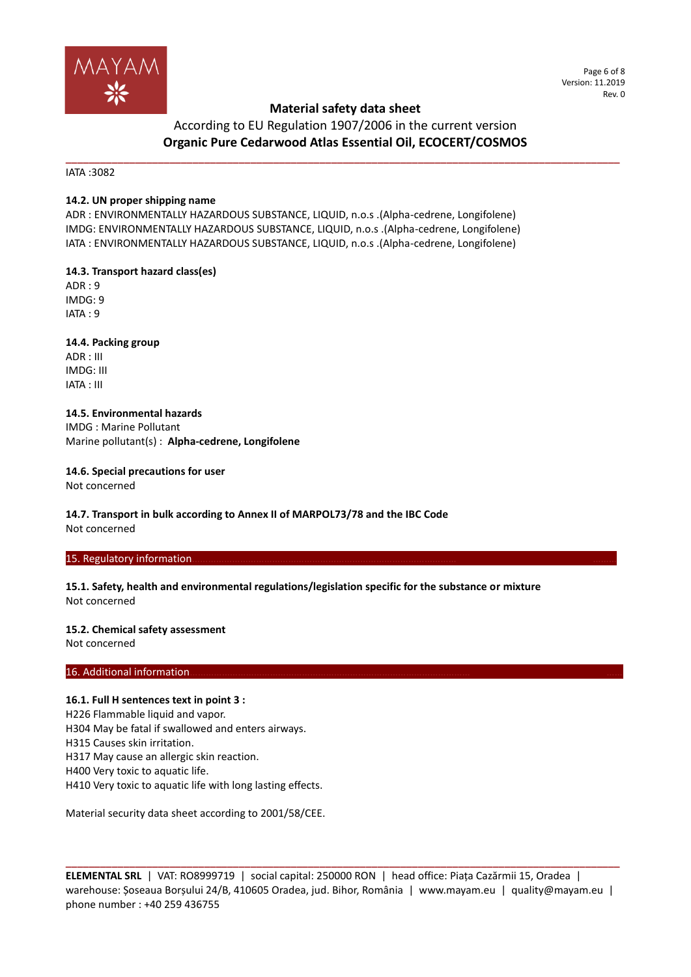

Page 6 of 8 Version: 11.2019 Rev. 0

## According to EU Regulation 1907/2006 in the current version **Organic Pure Cedarwood Atlas Essential Oil, ECOCERT/COSMOS**

**\_\_\_\_\_\_\_\_\_\_\_\_\_\_\_\_\_\_\_\_\_\_\_\_\_\_\_\_\_\_\_\_\_\_\_\_\_\_\_\_\_\_\_\_\_\_\_\_\_\_\_\_\_\_\_\_\_\_\_\_\_\_\_\_\_\_\_\_\_\_\_\_\_\_\_\_\_\_\_\_\_\_\_\_\_\_\_\_\_\_\_\_\_\_\_\_**

IATA :3082

#### **14.2. UN proper shipping name**

ADR : ENVIRONMENTALLY HAZARDOUS SUBSTANCE, LIQUID, n.o.s .(Alpha-cedrene, Longifolene) IMDG: ENVIRONMENTALLY HAZARDOUS SUBSTANCE, LIQUID, n.o.s .(Alpha-cedrene, Longifolene) IATA : ENVIRONMENTALLY HAZARDOUS SUBSTANCE, LIQUID, n.o.s .(Alpha-cedrene, Longifolene)

**14.3. Transport hazard class(es)**

ADR : 9 IMDG: 9 IATA : 9

**14.4. Packing group** ADR : III IMDG: III IATA : III

**14.5. Environmental hazards** IMDG : Marine Pollutant Marine pollutant(s) : **Alpha-cedrene, Longifolene**

**14.6. Special precautions for user** Not concerned

**14.7. Transport in bulk according to Annex II of MARPOL73/78 and the IBC Code** Not concerned

#### 15. Regulatory information

**15.1. Safety, health and environmental regulations/legislation specific for the substance or mixture** Not concerned

#### **15.2. Chemical safety assessment**

Not concerned

#### 16. Additional information.

#### **16.1. Full H sentences text in point 3 :**

H226 Flammable liquid and vapor. H304 May be fatal if swallowed and enters airways. H315 Causes skin irritation.

H317 May cause an allergic skin reaction.

H400 Very toxic to aquatic life.

H410 Very toxic to aquatic life with long lasting effects.

Material security data sheet according to 2001/58/CEE.

**ELEMENTAL SRL** | VAT: RO8999719 | social capital: 250000 RON | head office: Piața Cazărmii 15, Oradea | warehouse: Șoseaua Borșului 24/B, 410605 Oradea, jud. Bihor, România | www.mayam.eu | quality@mayam.eu | phone number : +40 259 436755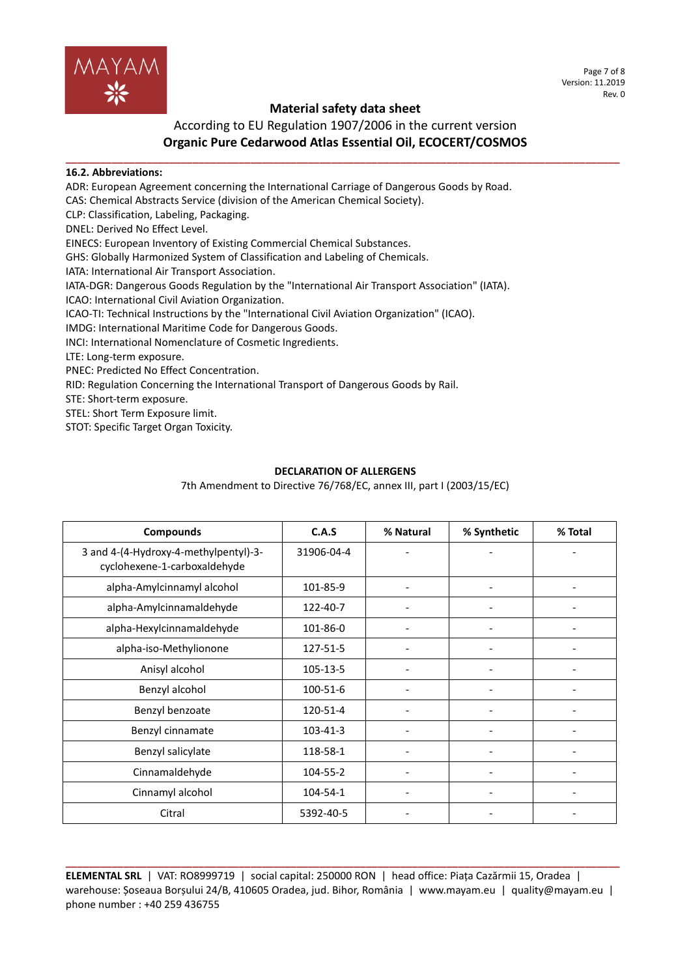

## According to EU Regulation 1907/2006 in the current version **Organic Pure Cedarwood Atlas Essential Oil, ECOCERT/COSMOS**

#### **\_\_\_\_\_\_\_\_\_\_\_\_\_\_\_\_\_\_\_\_\_\_\_\_\_\_\_\_\_\_\_\_\_\_\_\_\_\_\_\_\_\_\_\_\_\_\_\_\_\_\_\_\_\_\_\_\_\_\_\_\_\_\_\_\_\_\_\_\_\_\_\_\_\_\_\_\_\_\_\_\_\_\_\_\_\_\_\_\_\_\_\_\_\_\_\_ 16.2. Abbreviations:**

ADR: European Agreement concerning the International Carriage of Dangerous Goods by Road.

CAS: Chemical Abstracts Service (division of the American Chemical Society).

CLP: Classification, Labeling, Packaging.

DNEL: Derived No Effect Level.

EINECS: European Inventory of Existing Commercial Chemical Substances.

GHS: Globally Harmonized System of Classification and Labeling of Chemicals.

IATA: International Air Transport Association.

IATA-DGR: Dangerous Goods Regulation by the "International Air Transport Association" (IATA). ICAO: International Civil Aviation Organization.

ICAO-TI: Technical Instructions by the "International Civil Aviation Organization" (ICAO).

IMDG: International Maritime Code for Dangerous Goods.

INCI: International Nomenclature of Cosmetic Ingredients.

LTE: Long-term exposure.

PNEC: Predicted No Effect Concentration.

RID: Regulation Concerning the International Transport of Dangerous Goods by Rail.

STE: Short-term exposure.

STEL: Short Term Exposure limit.

STOT: Specific Target Organ Toxicity.

### **DECLARATION OF ALLERGENS**

7th Amendment to Directive 76/768/EC, annex III, part I (2003/15/EC)

| <b>Compounds</b>                                                      | C.A.S          | % Natural | % Synthetic | % Total |
|-----------------------------------------------------------------------|----------------|-----------|-------------|---------|
| 3 and 4-(4-Hydroxy-4-methylpentyl)-3-<br>cyclohexene-1-carboxaldehyde | 31906-04-4     |           |             |         |
| alpha-Amylcinnamyl alcohol                                            | 101-85-9       |           |             |         |
| alpha-Amylcinnamaldehyde                                              | 122-40-7       |           |             |         |
| alpha-Hexylcinnamaldehyde                                             | 101-86-0       |           |             |         |
| alpha-iso-Methylionone                                                | 127-51-5       |           |             |         |
| Anisyl alcohol                                                        | 105-13-5       |           |             |         |
| Benzyl alcohol                                                        | 100-51-6       |           |             |         |
| Benzyl benzoate                                                       | 120-51-4       |           |             |         |
| Benzyl cinnamate                                                      | $103 - 41 - 3$ |           |             |         |
| Benzyl salicylate                                                     | 118-58-1       |           |             |         |
| Cinnamaldehyde                                                        | 104-55-2       |           |             |         |
| Cinnamyl alcohol                                                      | 104-54-1       |           |             |         |
| Citral                                                                | 5392-40-5      |           |             |         |

**ELEMENTAL SRL** | VAT: RO8999719 | social capital: 250000 RON | head office: Piața Cazărmii 15, Oradea | warehouse: Șoseaua Borșului 24/B, 410605 Oradea, jud. Bihor, România | www.mayam.eu | quality@mayam.eu | phone number : +40 259 436755